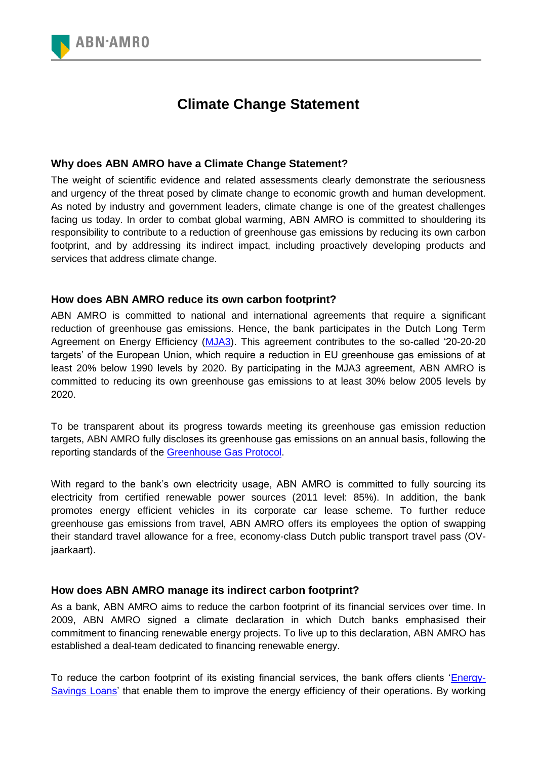

## **Climate Change Statement**

## **Why does ABN AMRO have a Climate Change Statement?**

The weight of scientific evidence and related assessments clearly demonstrate the seriousness and urgency of the threat posed by climate change to economic growth and human development. As noted by industry and government leaders, climate change is one of the greatest challenges facing us today. In order to combat global warming, ABN AMRO is committed to shouldering its responsibility to contribute to a reduction of greenhouse gas emissions by reducing its own carbon footprint, and by addressing its indirect impact, including proactively developing products and services that address climate change.

## **How does ABN AMRO reduce its own carbon footprint?**

ABN AMRO is committed to national and international agreements that require a significant reduction of greenhouse gas emissions. Hence, the bank participates in the Dutch Long Term Agreement on Energy Efficiency [\(MJA3\)](http://www.agentschapnl.nl/nl/programmas-regelingen/meerjarenafspraken-energie-efficiency). This agreement contributes to the so-called '20-20-20 targets' of the European Union, which require a reduction in EU greenhouse gas emissions of at least 20% below 1990 levels by 2020. By participating in the MJA3 agreement, ABN AMRO is committed to reducing its own greenhouse gas emissions to at least 30% below 2005 levels by 2020.

To be transparent about its progress towards meeting its greenhouse gas emission reduction targets, ABN AMRO fully discloses its greenhouse gas emissions on an annual basis, following the reporting standards of the [Greenhouse Gas Protocol.](http://www.ghgprotocol.org/)

With regard to the bank's own electricity usage, ABN AMRO is committed to fully sourcing its electricity from certified renewable power sources (2011 level: 85%). In addition, the bank promotes energy efficient vehicles in its corporate car lease scheme. To further reduce greenhouse gas emissions from travel, ABN AMRO offers its employees the option of swapping their standard travel allowance for a free, economy-class Dutch public transport travel pass (OVjaarkaart).

## **How does ABN AMRO manage its indirect carbon footprint?**

As a bank, ABN AMRO aims to reduce the carbon footprint of its financial services over time. In 2009, ABN AMRO signed a climate declaration in which Dutch banks emphasised their commitment to financing renewable energy projects. To live up to this declaration, ABN AMRO has established a deal-team dedicated to financing renewable energy.

To reduce the carbon footprint of its existing financial services, the bank offers clients ['Energy-](http://www.abnamro.com/en/Sustainability/retail-and-business-solutions/our-business-solutions/loans-to-help-save-energy/index.html)[Savings Loans'](http://www.abnamro.com/en/Sustainability/retail-and-business-solutions/our-business-solutions/loans-to-help-save-energy/index.html) that enable them to improve the energy efficiency of their operations. By working